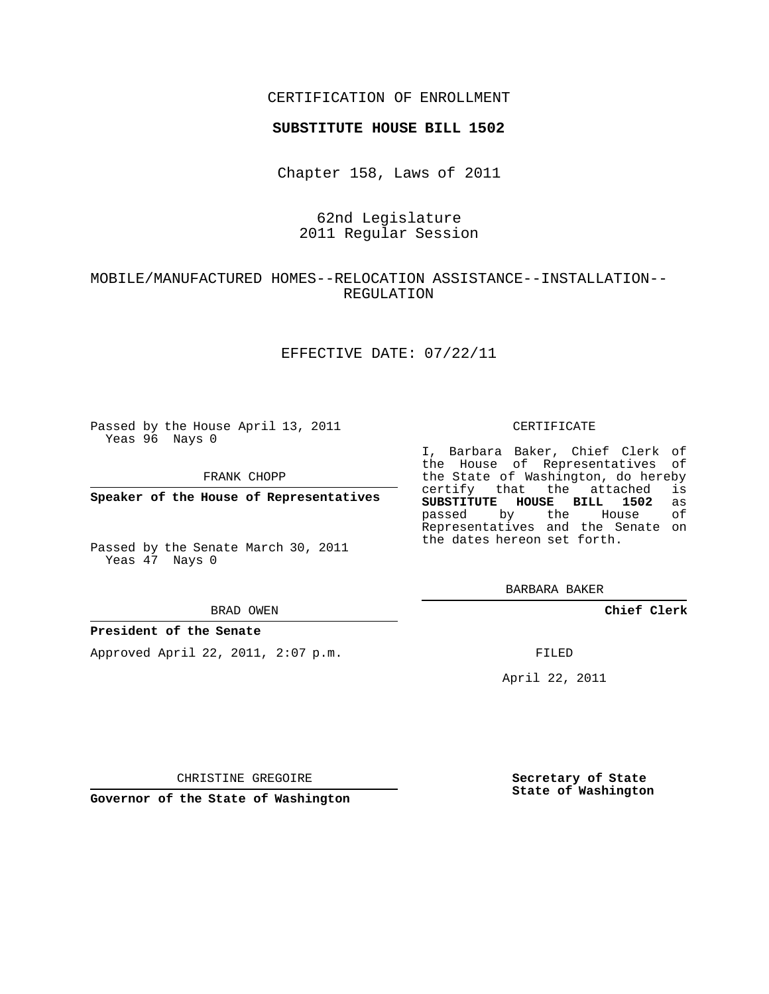## CERTIFICATION OF ENROLLMENT

### **SUBSTITUTE HOUSE BILL 1502**

Chapter 158, Laws of 2011

## 62nd Legislature 2011 Regular Session

# MOBILE/MANUFACTURED HOMES--RELOCATION ASSISTANCE--INSTALLATION-- REGULATION

### EFFECTIVE DATE: 07/22/11

Passed by the House April 13, 2011 Yeas 96 Nays 0

FRANK CHOPP

**Speaker of the House of Representatives**

Passed by the Senate March 30, 2011 Yeas 47 Nays 0

#### BRAD OWEN

### **President of the Senate**

Approved April 22, 2011, 2:07 p.m.

### CERTIFICATE

I, Barbara Baker, Chief Clerk of the House of Representatives of the State of Washington, do hereby<br>certify that the attached is certify that the attached **SUBSTITUTE HOUSE BILL 1502** as passed by the House Representatives and the Senate on the dates hereon set forth.

BARBARA BAKER

**Chief Clerk**

FILED

April 22, 2011

CHRISTINE GREGOIRE

**Governor of the State of Washington**

**Secretary of State State of Washington**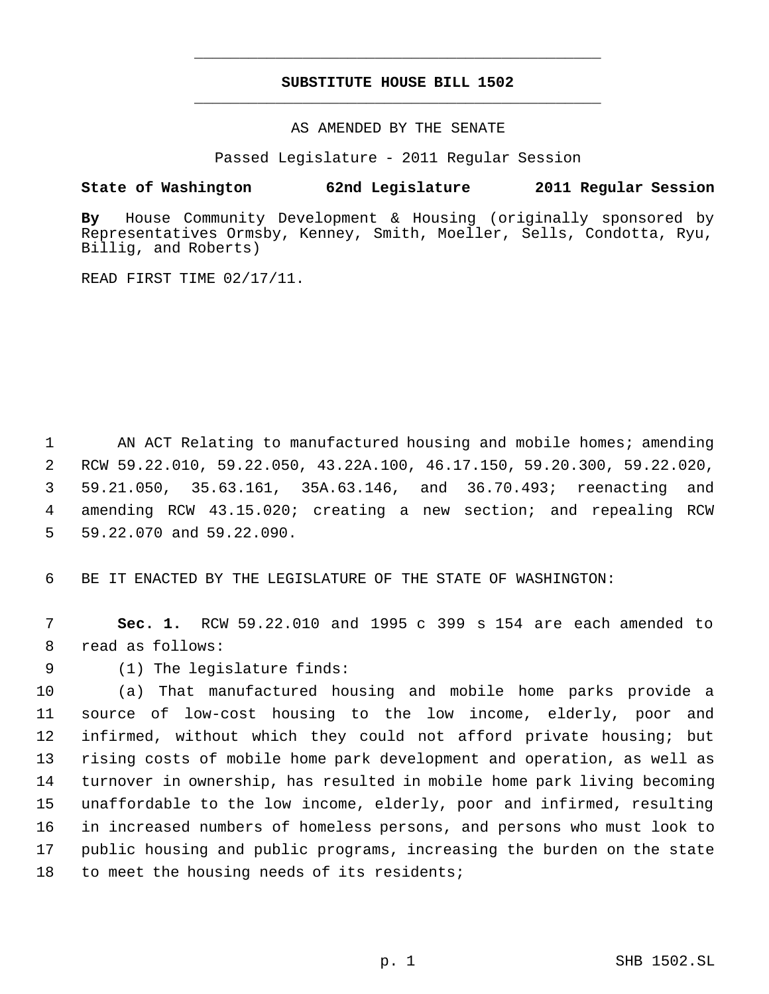# **SUBSTITUTE HOUSE BILL 1502** \_\_\_\_\_\_\_\_\_\_\_\_\_\_\_\_\_\_\_\_\_\_\_\_\_\_\_\_\_\_\_\_\_\_\_\_\_\_\_\_\_\_\_\_\_

\_\_\_\_\_\_\_\_\_\_\_\_\_\_\_\_\_\_\_\_\_\_\_\_\_\_\_\_\_\_\_\_\_\_\_\_\_\_\_\_\_\_\_\_\_

AS AMENDED BY THE SENATE

Passed Legislature - 2011 Regular Session

# **State of Washington 62nd Legislature 2011 Regular Session**

**By** House Community Development & Housing (originally sponsored by Representatives Ormsby, Kenney, Smith, Moeller, Sells, Condotta, Ryu, Billig, and Roberts)

READ FIRST TIME 02/17/11.

1 AN ACT Relating to manufactured housing and mobile homes; amending RCW 59.22.010, 59.22.050, 43.22A.100, 46.17.150, 59.20.300, 59.22.020, 59.21.050, 35.63.161, 35A.63.146, and 36.70.493; reenacting and amending RCW 43.15.020; creating a new section; and repealing RCW 59.22.070 and 59.22.090.

6 BE IT ENACTED BY THE LEGISLATURE OF THE STATE OF WASHINGTON:

 7 **Sec. 1.** RCW 59.22.010 and 1995 c 399 s 154 are each amended to 8 read as follows:

9 (1) The legislature finds:

 (a) That manufactured housing and mobile home parks provide a source of low-cost housing to the low income, elderly, poor and infirmed, without which they could not afford private housing; but rising costs of mobile home park development and operation, as well as turnover in ownership, has resulted in mobile home park living becoming unaffordable to the low income, elderly, poor and infirmed, resulting in increased numbers of homeless persons, and persons who must look to public housing and public programs, increasing the burden on the state 18 to meet the housing needs of its residents;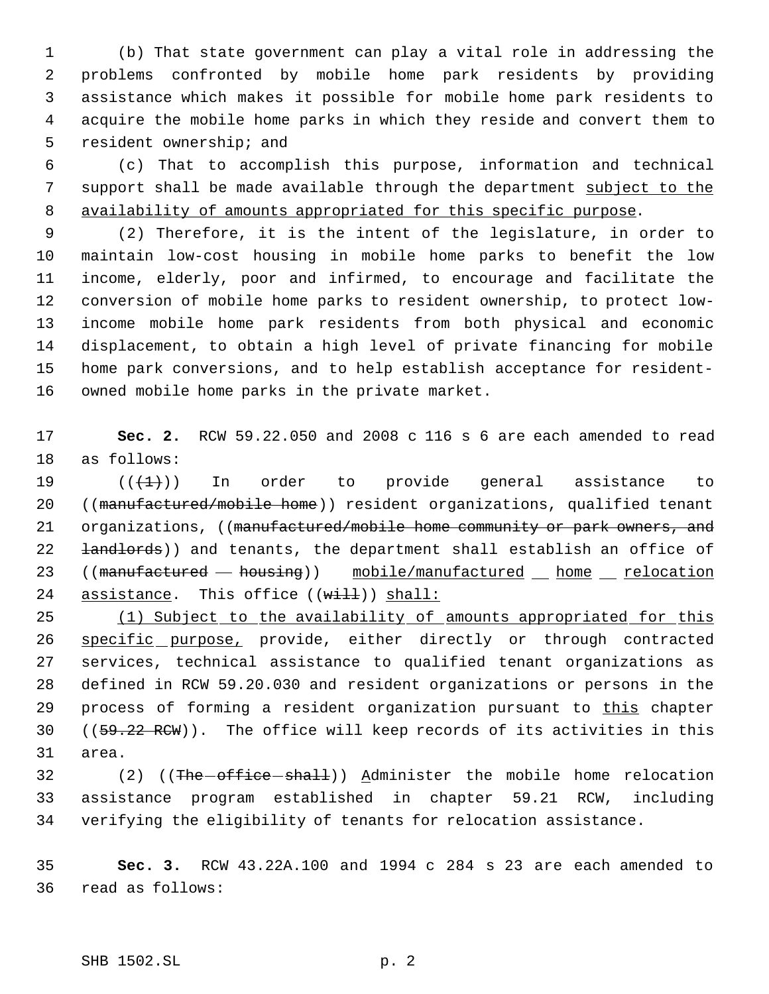(b) That state government can play a vital role in addressing the problems confronted by mobile home park residents by providing assistance which makes it possible for mobile home park residents to acquire the mobile home parks in which they reside and convert them to resident ownership; and

 (c) That to accomplish this purpose, information and technical support shall be made available through the department subject to the availability of amounts appropriated for this specific purpose.

 (2) Therefore, it is the intent of the legislature, in order to maintain low-cost housing in mobile home parks to benefit the low income, elderly, poor and infirmed, to encourage and facilitate the conversion of mobile home parks to resident ownership, to protect low- income mobile home park residents from both physical and economic displacement, to obtain a high level of private financing for mobile home park conversions, and to help establish acceptance for resident-owned mobile home parks in the private market.

 **Sec. 2.** RCW 59.22.050 and 2008 c 116 s 6 are each amended to read as follows:

 $((\{1\})$  In order to provide general assistance to ((manufactured/mobile home)) resident organizations, qualified tenant 21 organizations, ((manufactured/mobile home community or park owners, and 22 <del>landlords</del>)) and tenants, the department shall establish an office of 23 ((manufactured - housing)) mobile/manufactured home relocation 24 assistance. This office  $((\overline{\text{width}}))$  shall:

25 (1) Subject to the availability of amounts appropriated for this 26 specific purpose, provide, either directly or through contracted services, technical assistance to qualified tenant organizations as defined in RCW 59.20.030 and resident organizations or persons in the 29 process of forming a resident organization pursuant to this chapter 30  $((59.22 \text{ RCW}))$ . The office will keep records of its activities in this area.

32 (2) ((The office shall)) Administer the mobile home relocation assistance program established in chapter 59.21 RCW, including verifying the eligibility of tenants for relocation assistance.

 **Sec. 3.** RCW 43.22A.100 and 1994 c 284 s 23 are each amended to read as follows: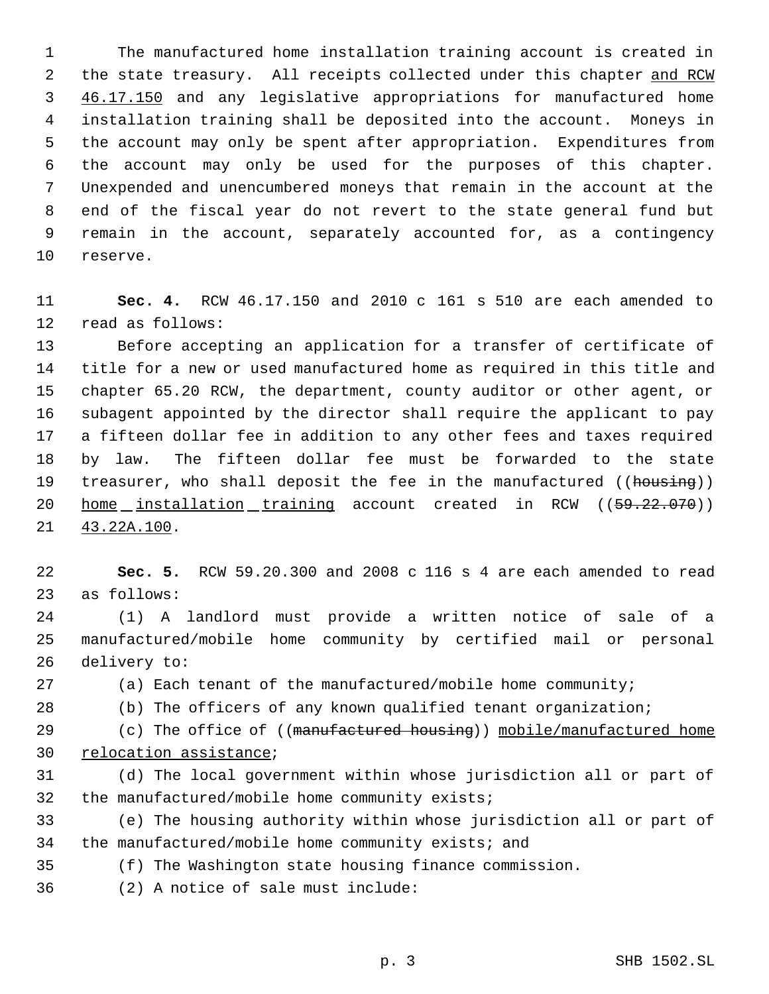The manufactured home installation training account is created in 2 the state treasury. All receipts collected under this chapter and RCW 3 46.17.150 and any legislative appropriations for manufactured home installation training shall be deposited into the account. Moneys in the account may only be spent after appropriation. Expenditures from the account may only be used for the purposes of this chapter. Unexpended and unencumbered moneys that remain in the account at the end of the fiscal year do not revert to the state general fund but remain in the account, separately accounted for, as a contingency reserve.

 **Sec. 4.** RCW 46.17.150 and 2010 c 161 s 510 are each amended to read as follows:

 Before accepting an application for a transfer of certificate of title for a new or used manufactured home as required in this title and chapter 65.20 RCW, the department, county auditor or other agent, or subagent appointed by the director shall require the applicant to pay a fifteen dollar fee in addition to any other fees and taxes required by law. The fifteen dollar fee must be forwarded to the state 19 treasurer, who shall deposit the fee in the manufactured ((housing)) 20 home installation training account created in RCW ((59.22.070)) 43.22A.100.

 **Sec. 5.** RCW 59.20.300 and 2008 c 116 s 4 are each amended to read as follows:

 (1) A landlord must provide a written notice of sale of a manufactured/mobile home community by certified mail or personal delivery to:

(a) Each tenant of the manufactured/mobile home community;

(b) The officers of any known qualified tenant organization;

29 (c) The office of ((manufactured housing)) mobile/manufactured home 30 relocation assistance;

 (d) The local government within whose jurisdiction all or part of the manufactured/mobile home community exists;

 (e) The housing authority within whose jurisdiction all or part of the manufactured/mobile home community exists; and

(f) The Washington state housing finance commission.

(2) A notice of sale must include: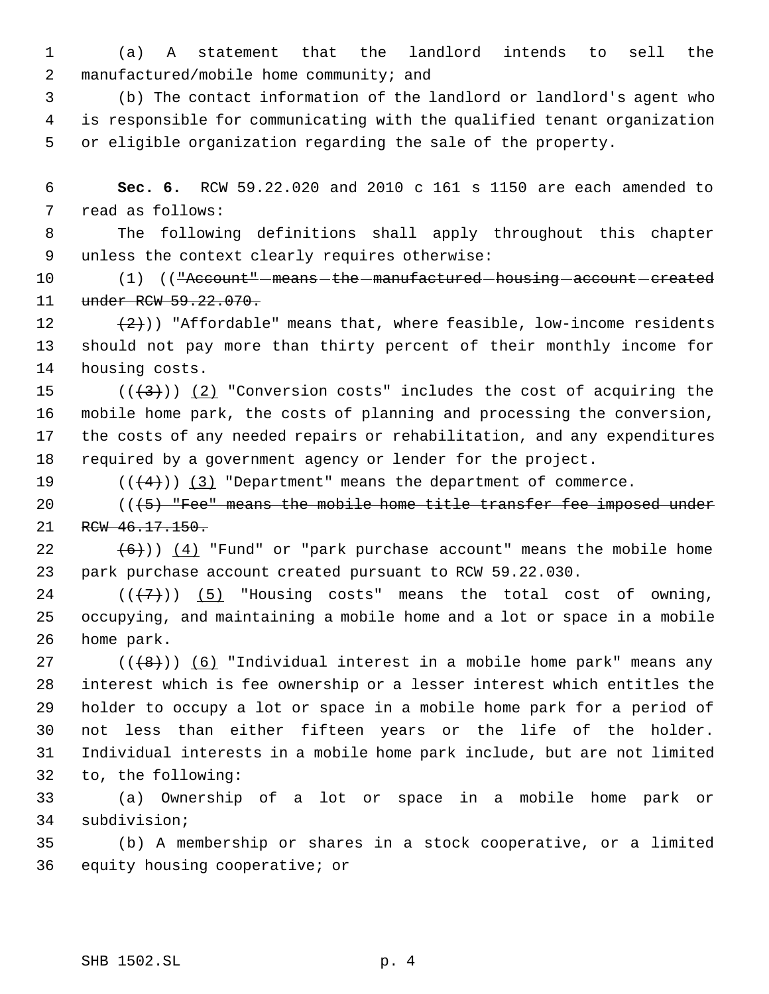(a) A statement that the landlord intends to sell the manufactured/mobile home community; and

 (b) The contact information of the landlord or landlord's agent who is responsible for communicating with the qualified tenant organization or eligible organization regarding the sale of the property.

 **Sec. 6.** RCW 59.22.020 and 2010 c 161 s 1150 are each amended to read as follows:

 The following definitions shall apply throughout this chapter unless the context clearly requires otherwise:

10 (1) ((<del>"Account" means the manufactured housing account created</del> 11 under RCW 59.22.070.

12  $(2)$ )) "Affordable" means that, where feasible, low-income residents should not pay more than thirty percent of their monthly income for housing costs.

 $((\langle 3 \rangle)(2)$  "Conversion costs" includes the cost of acquiring the mobile home park, the costs of planning and processing the conversion, the costs of any needed repairs or rehabilitation, and any expenditures required by a government agency or lender for the project.

19  $((\langle 4 \rangle) )$  (3) "Department" means the department of commerce.

20 (((5) "Fee" means the mobile home title transfer fee imposed under 21 RCW 46.17.150.

22  $(6)$ ))  $(4)$  "Fund" or "park purchase account" means the mobile home park purchase account created pursuant to RCW 59.22.030.

24  $((+7))$   $(5)$  "Housing costs" means the total cost of owning, occupying, and maintaining a mobile home and a lot or space in a mobile home park.

 $((+8))$   $(6)$  "Individual interest in a mobile home park" means any interest which is fee ownership or a lesser interest which entitles the holder to occupy a lot or space in a mobile home park for a period of not less than either fifteen years or the life of the holder. Individual interests in a mobile home park include, but are not limited to, the following:

 (a) Ownership of a lot or space in a mobile home park or subdivision;

 (b) A membership or shares in a stock cooperative, or a limited equity housing cooperative; or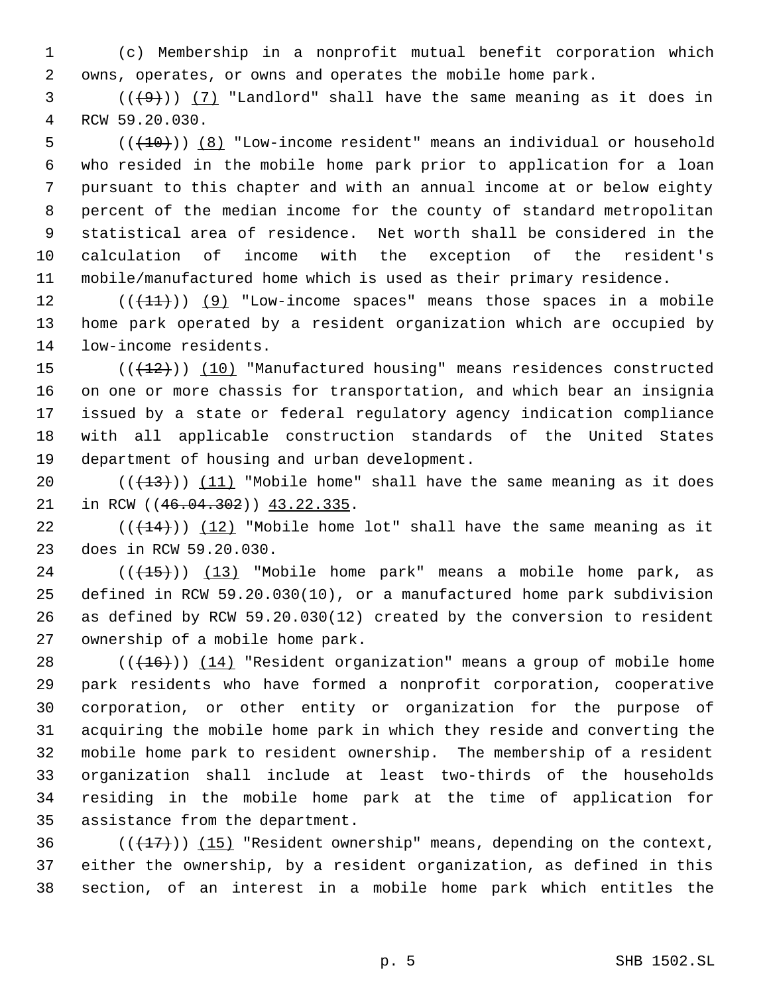(c) Membership in a nonprofit mutual benefit corporation which owns, operates, or owns and operates the mobile home park.

 ( $(\frac{49}{1})$   $(7)$  "Landlord" shall have the same meaning as it does in RCW 59.20.030.

 (( $(10)$ )) (8) "Low-income resident" means an individual or household who resided in the mobile home park prior to application for a loan pursuant to this chapter and with an annual income at or below eighty percent of the median income for the county of standard metropolitan statistical area of residence. Net worth shall be considered in the calculation of income with the exception of the resident's mobile/manufactured home which is used as their primary residence.

 $((+11))$   $(9)$  "Low-income spaces" means those spaces in a mobile home park operated by a resident organization which are occupied by low-income residents.

15 (( $(12)$ )) (10) "Manufactured housing" means residences constructed on one or more chassis for transportation, and which bear an insignia issued by a state or federal regulatory agency indication compliance with all applicable construction standards of the United States department of housing and urban development.

20  $((+13))$   $(11)$  "Mobile home" shall have the same meaning as it does 21 in RCW ((46.04.302)) 43.22.335.

22  $((+14))$   $(12)$  "Mobile home lot" shall have the same meaning as it does in RCW 59.20.030.

 ( $(\overline{+15})$ )  $(13)$  "Mobile home park" means a mobile home park, as defined in RCW 59.20.030(10), or a manufactured home park subdivision as defined by RCW 59.20.030(12) created by the conversion to resident ownership of a mobile home park.

 $((+16))$   $(14)$  "Resident organization" means a group of mobile home park residents who have formed a nonprofit corporation, cooperative corporation, or other entity or organization for the purpose of acquiring the mobile home park in which they reside and converting the mobile home park to resident ownership. The membership of a resident organization shall include at least two-thirds of the households residing in the mobile home park at the time of application for assistance from the department.

36 ( $(\frac{17}{17})$ ) (15) "Resident ownership" means, depending on the context, either the ownership, by a resident organization, as defined in this section, of an interest in a mobile home park which entitles the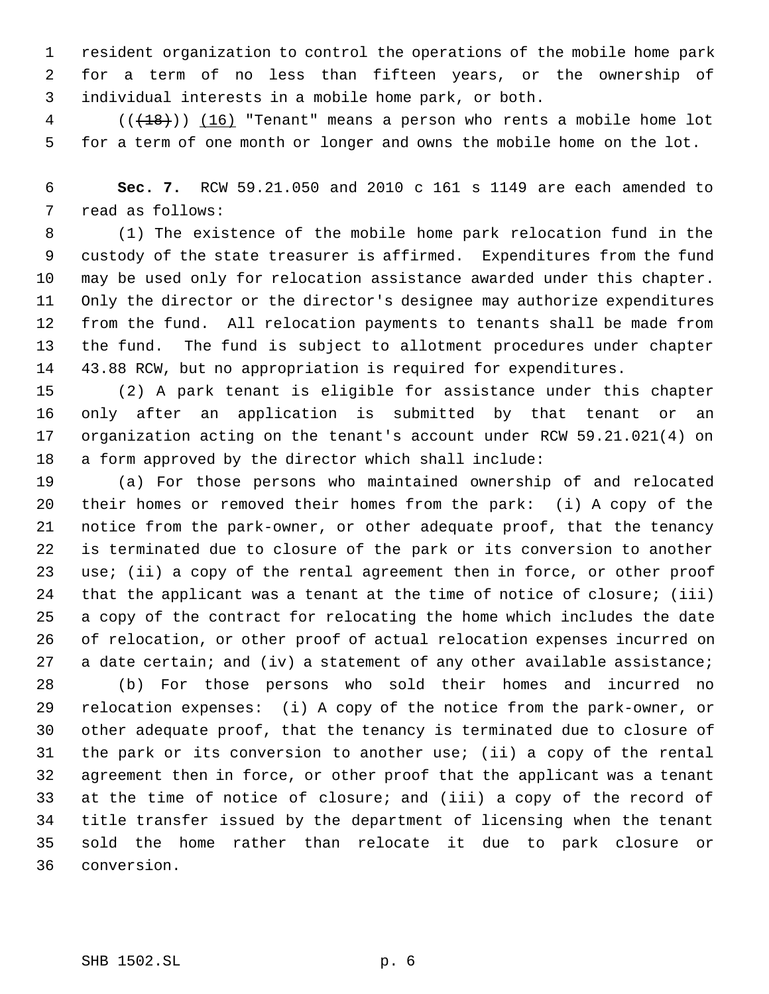resident organization to control the operations of the mobile home park for a term of no less than fifteen years, or the ownership of individual interests in a mobile home park, or both.

4 (( $(18)$ )) (16) "Tenant" means a person who rents a mobile home lot for a term of one month or longer and owns the mobile home on the lot.

 **Sec. 7.** RCW 59.21.050 and 2010 c 161 s 1149 are each amended to read as follows:

 (1) The existence of the mobile home park relocation fund in the custody of the state treasurer is affirmed. Expenditures from the fund may be used only for relocation assistance awarded under this chapter. Only the director or the director's designee may authorize expenditures from the fund. All relocation payments to tenants shall be made from the fund. The fund is subject to allotment procedures under chapter 43.88 RCW, but no appropriation is required for expenditures.

 (2) A park tenant is eligible for assistance under this chapter only after an application is submitted by that tenant or an organization acting on the tenant's account under RCW 59.21.021(4) on a form approved by the director which shall include:

 (a) For those persons who maintained ownership of and relocated their homes or removed their homes from the park: (i) A copy of the notice from the park-owner, or other adequate proof, that the tenancy is terminated due to closure of the park or its conversion to another use; (ii) a copy of the rental agreement then in force, or other proof that the applicant was a tenant at the time of notice of closure; (iii) a copy of the contract for relocating the home which includes the date of relocation, or other proof of actual relocation expenses incurred on 27 a date certain; and (iv) a statement of any other available assistance;

 (b) For those persons who sold their homes and incurred no relocation expenses: (i) A copy of the notice from the park-owner, or other adequate proof, that the tenancy is terminated due to closure of the park or its conversion to another use; (ii) a copy of the rental agreement then in force, or other proof that the applicant was a tenant at the time of notice of closure; and (iii) a copy of the record of title transfer issued by the department of licensing when the tenant sold the home rather than relocate it due to park closure or conversion.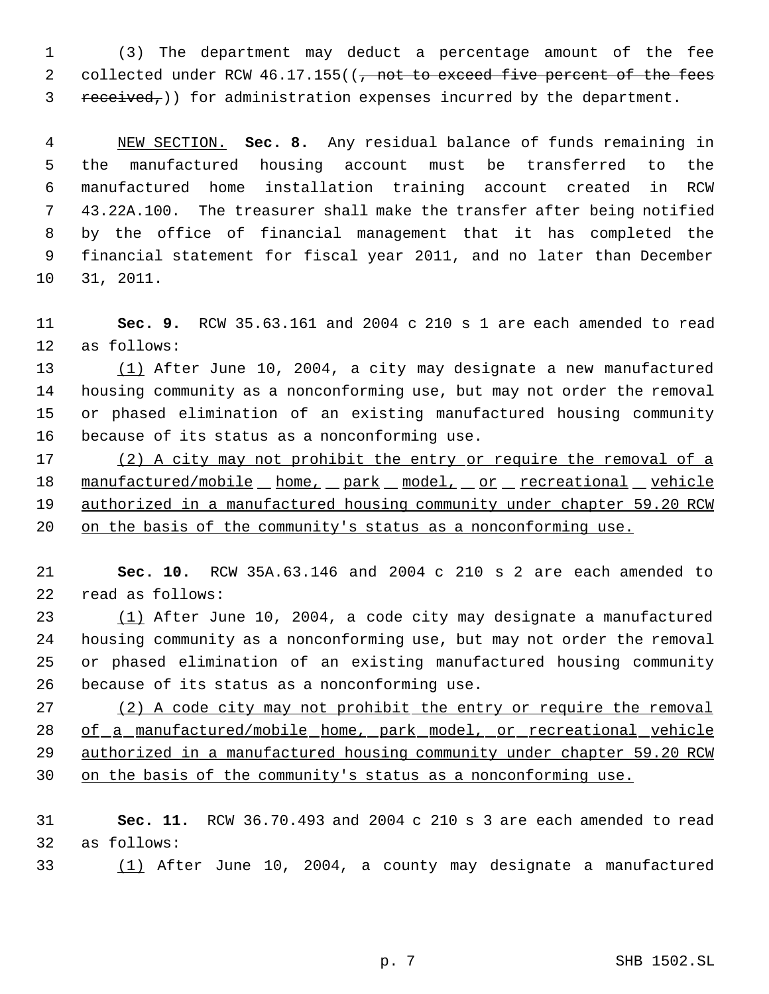(3) The department may deduct a percentage amount of the fee 2 collected under RCW 46.17.155((, not to exceed five percent of the fees received,)) for administration expenses incurred by the department.

 NEW SECTION. **Sec. 8.** Any residual balance of funds remaining in the manufactured housing account must be transferred to the manufactured home installation training account created in RCW 43.22A.100. The treasurer shall make the transfer after being notified by the office of financial management that it has completed the financial statement for fiscal year 2011, and no later than December 31, 2011.

 **Sec. 9.** RCW 35.63.161 and 2004 c 210 s 1 are each amended to read as follows:

 (1) After June 10, 2004, a city may designate a new manufactured housing community as a nonconforming use, but may not order the removal or phased elimination of an existing manufactured housing community because of its status as a nonconforming use.

17 (2) A city may not prohibit the entry or require the removal of a 18 manufactured/mobile home, park model, or recreational vehicle authorized in a manufactured housing community under chapter 59.20 RCW on the basis of the community's status as a nonconforming use.

 **Sec. 10.** RCW 35A.63.146 and 2004 c 210 s 2 are each amended to read as follows:

 (1) After June 10, 2004, a code city may designate a manufactured housing community as a nonconforming use, but may not order the removal or phased elimination of an existing manufactured housing community because of its status as a nonconforming use.

27 (2) A code city may not prohibit the entry or require the removal 28 of a manufactured/mobile home, park model, or recreational vehicle authorized in a manufactured housing community under chapter 59.20 RCW on the basis of the community's status as a nonconforming use.

 **Sec. 11.** RCW 36.70.493 and 2004 c 210 s 3 are each amended to read as follows:

(1) After June 10, 2004, a county may designate a manufactured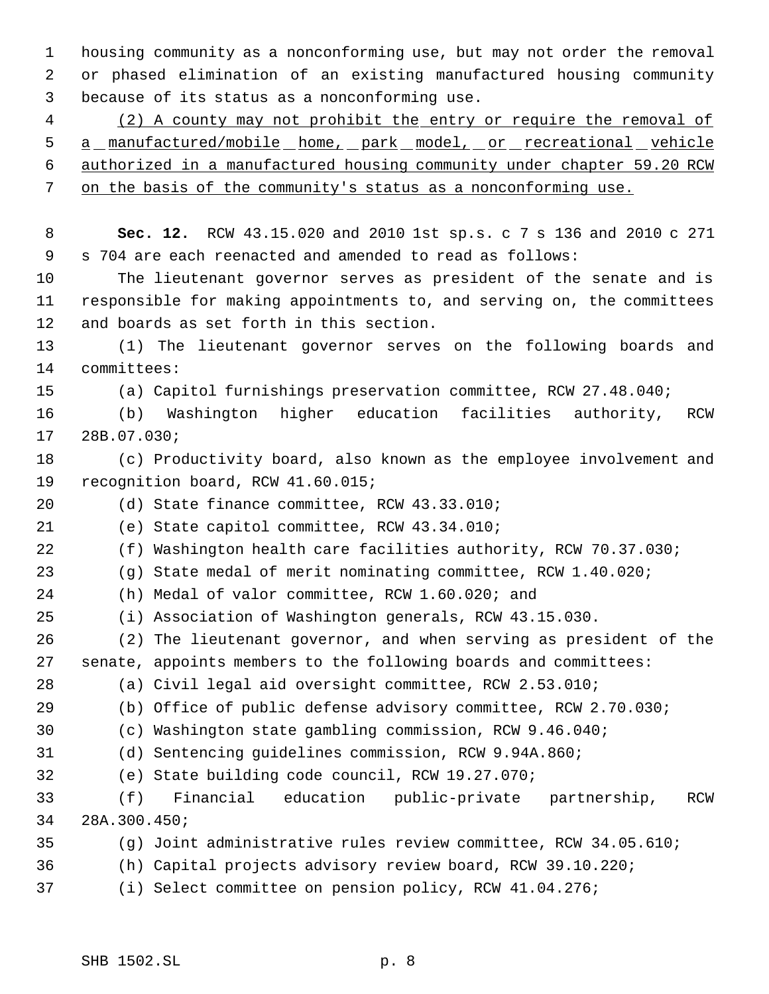housing community as a nonconforming use, but may not order the removal or phased elimination of an existing manufactured housing community because of its status as a nonconforming use.

 (2) A county may not prohibit the entry or require the removal of 5 a manufactured/mobile home, park model, or recreational vehicle authorized in a manufactured housing community under chapter 59.20 RCW on the basis of the community's status as a nonconforming use.

 **Sec. 12.** RCW 43.15.020 and 2010 1st sp.s. c 7 s 136 and 2010 c 271 s 704 are each reenacted and amended to read as follows:

 The lieutenant governor serves as president of the senate and is responsible for making appointments to, and serving on, the committees and boards as set forth in this section.

 (1) The lieutenant governor serves on the following boards and committees:

(a) Capitol furnishings preservation committee, RCW 27.48.040;

 (b) Washington higher education facilities authority, RCW 28B.07.030;

 (c) Productivity board, also known as the employee involvement and recognition board, RCW 41.60.015;

(d) State finance committee, RCW 43.33.010;

(e) State capitol committee, RCW 43.34.010;

(f) Washington health care facilities authority, RCW 70.37.030;

(g) State medal of merit nominating committee, RCW 1.40.020;

(h) Medal of valor committee, RCW 1.60.020; and

(i) Association of Washington generals, RCW 43.15.030.

 (2) The lieutenant governor, and when serving as president of the senate, appoints members to the following boards and committees:

(a) Civil legal aid oversight committee, RCW 2.53.010;

(b) Office of public defense advisory committee, RCW 2.70.030;

(c) Washington state gambling commission, RCW 9.46.040;

(d) Sentencing guidelines commission, RCW 9.94A.860;

(e) State building code council, RCW 19.27.070;

 (f) Financial education public-private partnership, RCW 28A.300.450;

(g) Joint administrative rules review committee, RCW 34.05.610;

(h) Capital projects advisory review board, RCW 39.10.220;

(i) Select committee on pension policy, RCW 41.04.276;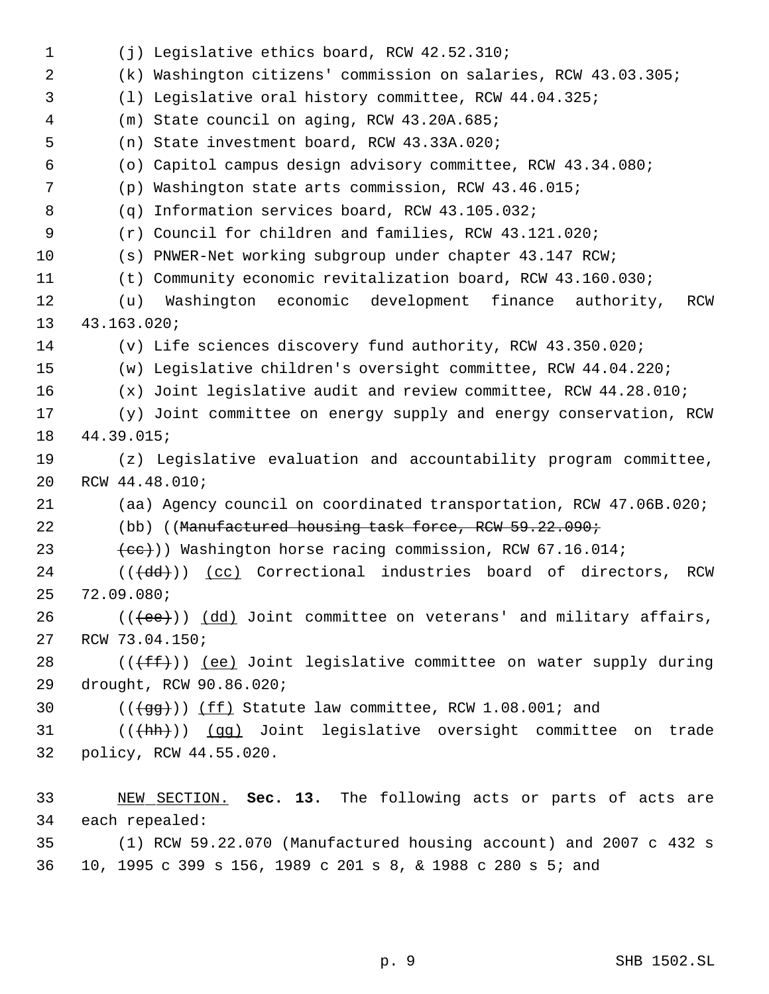(j) Legislative ethics board, RCW 42.52.310; (k) Washington citizens' commission on salaries, RCW 43.03.305; (l) Legislative oral history committee, RCW 44.04.325; (m) State council on aging, RCW 43.20A.685; (n) State investment board, RCW 43.33A.020; (o) Capitol campus design advisory committee, RCW 43.34.080; (p) Washington state arts commission, RCW 43.46.015; (q) Information services board, RCW 43.105.032; (r) Council for children and families, RCW 43.121.020; (s) PNWER-Net working subgroup under chapter 43.147 RCW; (t) Community economic revitalization board, RCW 43.160.030; (u) Washington economic development finance authority, RCW 43.163.020; (v) Life sciences discovery fund authority, RCW 43.350.020; (w) Legislative children's oversight committee, RCW 44.04.220; (x) Joint legislative audit and review committee, RCW 44.28.010; (y) Joint committee on energy supply and energy conservation, RCW 44.39.015; (z) Legislative evaluation and accountability program committee, RCW 44.48.010; (aa) Agency council on coordinated transportation, RCW 47.06B.020; 22 (bb) ((Manufactured housing task force, RCW 59.22.090;  $(ee)$ ) Washington horse racing commission, RCW 67.16.014; 24 (((dd))) (cc) Correctional industries board of directors, RCW 72.09.080;  $((\text{+ee})^{\circ})$  (dd) Joint committee on veterans' and military affairs, RCW 73.04.150; 28 ( $(\text{fff-})$ ) <u>(ee)</u> Joint legislative committee on water supply during drought, RCW 90.86.020;  $((\text{+gg+}))$  (ff) Statute law committee, RCW 1.08.001; and 31 ((( $\frac{(\text{th})}{\text{gq}}$ ) Joint legislative oversight committee on trade policy, RCW 44.55.020. NEW SECTION. **Sec. 13.** The following acts or parts of acts are each repealed: (1) RCW 59.22.070 (Manufactured housing account) and 2007 c 432 s 10, 1995 c 399 s 156, 1989 c 201 s 8, & 1988 c 280 s 5; and